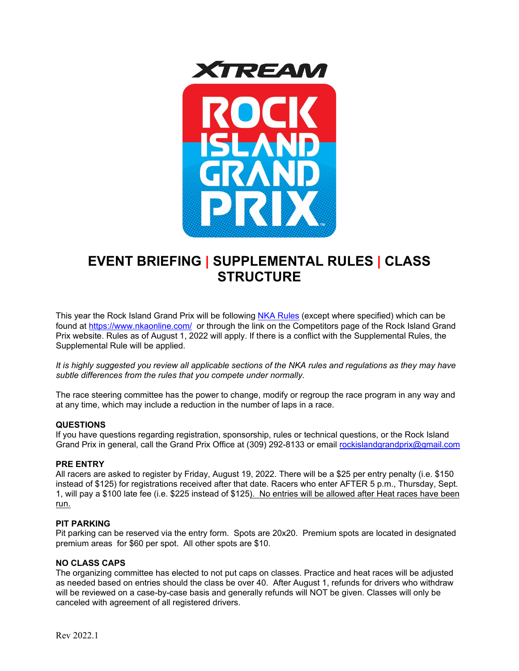



# **EVENT BRIEFING | SUPPLEMENTAL RULES | CLASS STRUCTURE**

This year the Rock Island Grand Prix will be following [NKA Rules](https://www.nkaonline.com/rules) (except where specified) which can be found at<https://www.nkaonline.com/>or through the link on the Competitors page of the Rock Island Grand Prix website. Rules as of August 1, 2022 will apply. If there is a conflict with the Supplemental Rules, the Supplemental Rule will be applied.

*It is highly suggested you review all applicable sections of the NKA rules and regulations as they may have subtle differences from the rules that you compete under normally.*

The race steering committee has the power to change, modify or regroup the race program in any way and at any time, which may include a reduction in the number of laps in a race.

#### **QUESTIONS**

If you have questions regarding registration, sponsorship, rules or technical questions, or the Rock Island Grand Prix in general, call the Grand Prix Office at (309) 292-8133 or email [rockislandgrandprix@gmail.com](mailto:rockislandgrandprix@gmail.com)

#### **PRE ENTRY**

All racers are asked to register by Friday, August 19, 2022. There will be a \$25 per entry penalty (i.e. \$150 instead of \$125) for registrations received after that date. Racers who enter AFTER 5 p.m., Thursday, Sept. 1, will pay a \$100 late fee (i.e. \$225 instead of \$125). No entries will be allowed after Heat races have been run.

#### **PIT PARKING**

Pit parking can be reserved via the entry form. Spots are 20x20. Premium spots are located in designated premium areas for \$60 per spot. All other spots are \$10.

#### **NO CLASS CAPS**

The organizing committee has elected to not put caps on classes. Practice and heat races will be adjusted as needed based on entries should the class be over 40. After August 1, refunds for drivers who withdraw will be reviewed on a case-by-case basis and generally refunds will NOT be given. Classes will only be canceled with agreement of all registered drivers.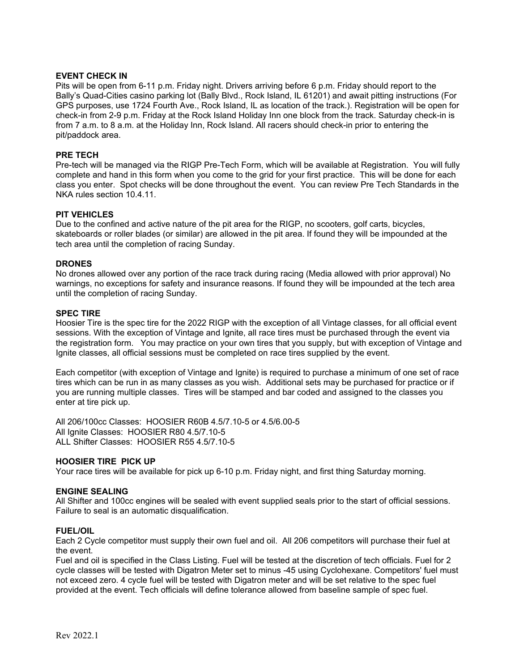#### **EVENT CHECK IN**

Pits will be open from 6-11 p.m. Friday night. Drivers arriving before 6 p.m. Friday should report to the Bally's Quad-Cities casino parking lot (Bally Blvd., Rock Island, IL 61201) and await pitting instructions (For GPS purposes, use 1724 Fourth Ave., Rock Island, IL as location of the track.). Registration will be open for check-in from 2-9 p.m. Friday at the Rock Island Holiday Inn one block from the track. Saturday check-in is from 7 a.m. to 8 a.m. at the Holiday Inn, Rock Island. All racers should check-in prior to entering the pit/paddock area.

#### **PRE TECH**

Pre-tech will be managed via the RIGP Pre-Tech Form, which will be available at Registration. You will fully complete and hand in this form when you come to the grid for your first practice. This will be done for each class you enter. Spot checks will be done throughout the event. You can review Pre Tech Standards in the NKA rules section 10.4.11.

#### **PIT VEHICLES**

Due to the confined and active nature of the pit area for the RIGP, no scooters, golf carts, bicycles, skateboards or roller blades (or similar) are allowed in the pit area. If found they will be impounded at the tech area until the completion of racing Sunday.

#### **DRONES**

No drones allowed over any portion of the race track during racing (Media allowed with prior approval) No warnings, no exceptions for safety and insurance reasons. If found they will be impounded at the tech area until the completion of racing Sunday.

#### **SPEC TIRE**

Hoosier Tire is the spec tire for the 2022 RIGP with the exception of all Vintage classes, for all official event sessions. With the exception of Vintage and Ignite, all race tires must be purchased through the event via the registration form. You may practice on your own tires that you supply, but with exception of Vintage and Ignite classes, all official sessions must be completed on race tires supplied by the event.

Each competitor (with exception of Vintage and Ignite) is required to purchase a minimum of one set of race tires which can be run in as many classes as you wish. Additional sets may be purchased for practice or if you are running multiple classes. Tires will be stamped and bar coded and assigned to the classes you enter at tire pick up.

All 206/100cc Classes: HOOSIER R60B 4.5/7.10-5 or 4.5/6.00-5 All Ignite Classes: HOOSIER R80 4.5/7.10-5 ALL Shifter Classes: HOOSIER R55 4.5/7.10-5

#### **HOOSIER TIRE PICK UP**

Your race tires will be available for pick up 6-10 p.m. Friday night, and first thing Saturday morning.

#### **ENGINE SEALING**

All Shifter and 100cc engines will be sealed with event supplied seals prior to the start of official sessions. Failure to seal is an automatic disqualification.

#### **FUEL/OIL**

Each 2 Cycle competitor must supply their own fuel and oil. All 206 competitors will purchase their fuel at the event.

Fuel and oil is specified in the Class Listing. Fuel will be tested at the discretion of tech officials. Fuel for 2 cycle classes will be tested with Digatron Meter set to minus -45 using Cyclohexane. Competitors' fuel must not exceed zero. 4 cycle fuel will be tested with Digatron meter and will be set relative to the spec fuel provided at the event. Tech officials will define tolerance allowed from baseline sample of spec fuel.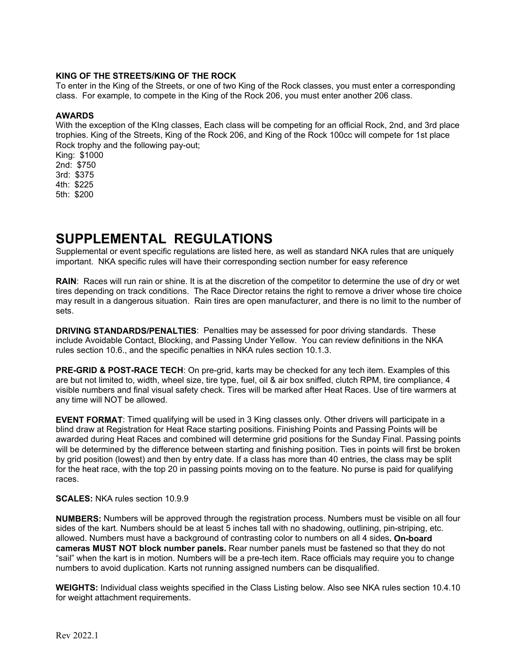#### **KING OF THE STREETS/KING OF THE ROCK**

To enter in the King of the Streets, or one of two King of the Rock classes, you must enter a corresponding class. For example, to compete in the King of the Rock 206, you must enter another 206 class.

#### **AWARDS**

With the exception of the KIng classes, Each class will be competing for an official Rock, 2nd, and 3rd place trophies. King of the Streets, King of the Rock 206, and King of the Rock 100cc will compete for 1st place Rock trophy and the following pay-out;

King: \$1000 2nd: \$750 3rd: \$375 4th: \$225 5th: \$200

# **SUPPLEMENTAL REGULATIONS**

Supplemental or event specific regulations are listed here, as well as standard NKA rules that are uniquely important. NKA specific rules will have their corresponding section number for easy reference

**RAIN**: Races will run rain or shine. It is at the discretion of the competitor to determine the use of dry or wet tires depending on track conditions. The Race Director retains the right to remove a driver whose tire choice may result in a dangerous situation. Rain tires are open manufacturer, and there is no limit to the number of sets.

**DRIVING STANDARDS/PENALTIES**: Penalties may be assessed for poor driving standards. These include Avoidable Contact, Blocking, and Passing Under Yellow. You can review definitions in the NKA rules section 10.6., and the specific penalties in NKA rules section 10.1.3.

**PRE-GRID & POST-RACE TECH**: On pre-grid, karts may be checked for any tech item. Examples of this are but not limited to, width, wheel size, tire type, fuel, oil & air box sniffed, clutch RPM, tire compliance, 4 visible numbers and final visual safety check. Tires will be marked after Heat Races. Use of tire warmers at any time will NOT be allowed.

**EVENT FORMAT**: Timed qualifying will be used in 3 King classes only. Other drivers will participate in a blind draw at Registration for Heat Race starting positions. Finishing Points and Passing Points will be awarded during Heat Races and combined will determine grid positions for the Sunday Final. Passing points will be determined by the difference between starting and finishing position. Ties in points will first be broken by grid position (lowest) and then by entry date. If a class has more than 40 entries, the class may be split for the heat race, with the top 20 in passing points moving on to the feature. No purse is paid for qualifying races.

#### **SCALES:** NKA rules section 10.9.9

**NUMBERS:** Numbers will be approved through the registration process. Numbers must be visible on all four sides of the kart. Numbers should be at least 5 inches tall with no shadowing, outlining, pin-striping, etc. allowed. Numbers must have a background of contrasting color to numbers on all 4 sides**. On-board cameras MUST NOT block number panels.** Rear number panels must be fastened so that they do not "sail" when the kart is in motion. Numbers will be a pre-tech item. Race officials may require you to change numbers to avoid duplication. Karts not running assigned numbers can be disqualified.

**WEIGHTS:** Individual class weights specified in the Class Listing below. Also see NKA rules section 10.4.10 for weight attachment requirements.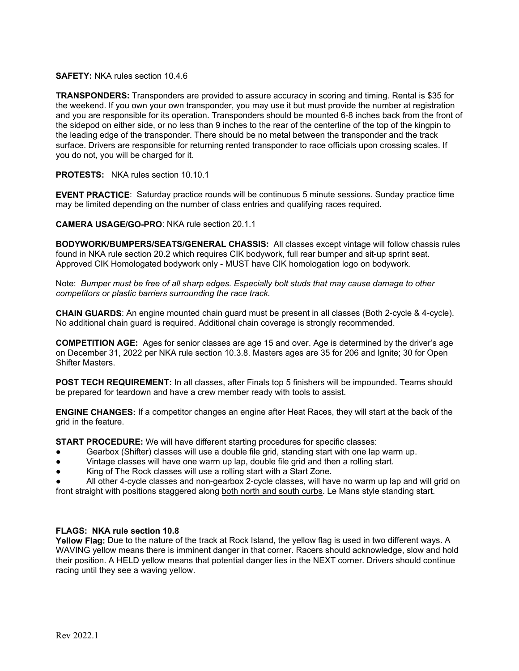#### **SAFETY:** NKA rules section 10.4.6

**TRANSPONDERS:** Transponders are provided to assure accuracy in scoring and timing. Rental is \$35 for the weekend. If you own your own transponder, you may use it but must provide the number at registration and you are responsible for its operation. Transponders should be mounted 6-8 inches back from the front of the sidepod on either side, or no less than 9 inches to the rear of the centerline of the top of the kingpin to the leading edge of the transponder. There should be no metal between the transponder and the track surface. Drivers are responsible for returning rented transponder to race officials upon crossing scales. If you do not, you will be charged for it.

#### **PROTESTS:** NKA rules section 10.10.1

**EVENT PRACTICE**: Saturday practice rounds will be continuous 5 minute sessions. Sunday practice time may be limited depending on the number of class entries and qualifying races required.

**CAMERA USAGE/GO-PRO**: NKA rule section 20.1.1

**BODYWORK/BUMPERS/SEATS/GENERAL CHASSIS:** All classes except vintage will follow chassis rules found in NKA rule section 20.2 which requires CIK bodywork, full rear bumper and sit-up sprint seat. Approved CIK Homologated bodywork only - MUST have CIK homologation logo on bodywork.

Note: *Bumper must be free of all sharp edges. Especially bolt studs that may cause damage to other competitors or plastic barriers surrounding the race track.* 

**CHAIN GUARDS**: An engine mounted chain guard must be present in all classes (Both 2-cycle & 4-cycle). No additional chain guard is required. Additional chain coverage is strongly recommended.

**COMPETITION AGE:** Ages for senior classes are age 15 and over. Age is determined by the driver's age on December 31, 2022 per NKA rule section 10.3.8. Masters ages are 35 for 206 and Ignite; 30 for Open Shifter Masters.

**POST TECH REQUIREMENT:** In all classes, after Finals top 5 finishers will be impounded. Teams should be prepared for teardown and have a crew member ready with tools to assist.

**ENGINE CHANGES:** If a competitor changes an engine after Heat Races, they will start at the back of the grid in the feature.

**START PROCEDURE:** We will have different starting procedures for specific classes:

- Gearbox (Shifter) classes will use a double file grid, standing start with one lap warm up.
- Vintage classes will have one warm up lap, double file grid and then a rolling start.
- King of The Rock classes will use a rolling start with a Start Zone.

All other 4-cycle classes and non-gearbox 2-cycle classes, will have no warm up lap and will grid on front straight with positions staggered along both north and south curbs. Le Mans style standing start.

### **FLAGS: NKA rule section 10.8**

**Yellow Flag:** Due to the nature of the track at Rock Island, the yellow flag is used in two different ways. A WAVING yellow means there is imminent danger in that corner. Racers should acknowledge, slow and hold their position. A HELD yellow means that potential danger lies in the NEXT corner. Drivers should continue racing until they see a waving yellow.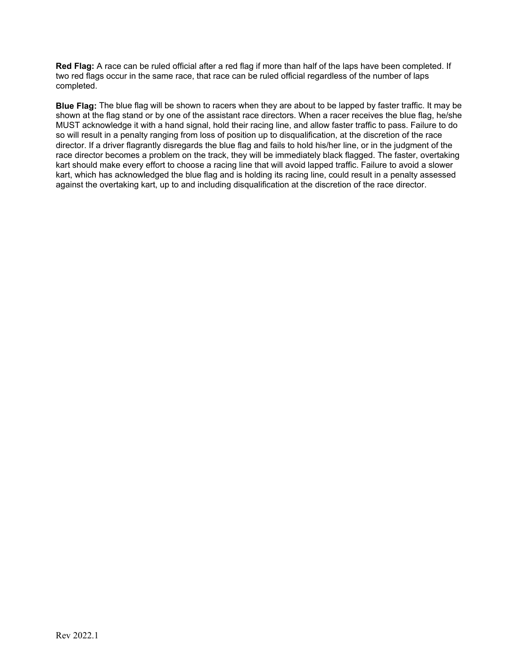**Red Flag:** A race can be ruled official after a red flag if more than half of the laps have been completed. If two red flags occur in the same race, that race can be ruled official regardless of the number of laps completed.

**Blue Flag:** The blue flag will be shown to racers when they are about to be lapped by faster traffic. It may be shown at the flag stand or by one of the assistant race directors. When a racer receives the blue flag, he/she MUST acknowledge it with a hand signal, hold their racing line, and allow faster traffic to pass. Failure to do so will result in a penalty ranging from loss of position up to disqualification, at the discretion of the race director. If a driver flagrantly disregards the blue flag and fails to hold his/her line, or in the judgment of the race director becomes a problem on the track, they will be immediately black flagged. The faster, overtaking kart should make every effort to choose a racing line that will avoid lapped traffic. Failure to avoid a slower kart, which has acknowledged the blue flag and is holding its racing line, could result in a penalty assessed against the overtaking kart, up to and including disqualification at the discretion of the race director.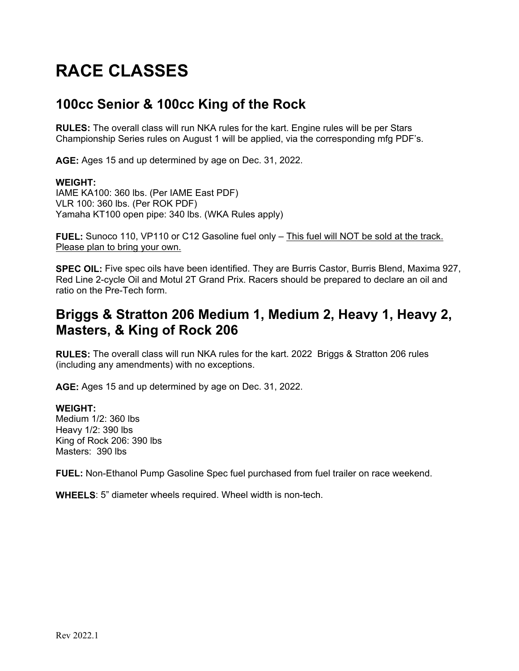# **RACE CLASSES**

## **100cc Senior & 100cc King of the Rock**

**RULES:** The overall class will run NKA rules for the kart. Engine rules will be per Stars Championship Series rules on August 1 will be applied, via the corresponding mfg PDF's.

**AGE:** Ages 15 and up determined by age on Dec. 31, 2022.

### **WEIGHT:**

IAME KA100: 360 lbs. (Per IAME East PDF) VLR 100: 360 lbs. (Per ROK PDF) Yamaha KT100 open pipe: 340 lbs. (WKA Rules apply)

FUEL: Sunoco 110, VP110 or C12 Gasoline fuel only - This fuel will NOT be sold at the track. Please plan to bring your own.

**SPEC OIL:** Five spec oils have been identified. They are Burris Castor, Burris Blend, Maxima 927, Red Line 2-cycle Oil and Motul 2T Grand Prix. Racers should be prepared to declare an oil and ratio on the Pre-Tech form.

# **Briggs & Stratton 206 Medium 1, Medium 2, Heavy 1, Heavy 2, Masters, & King of Rock 206**

**RULES:** The overall class will run NKA rules for the kart. 2022 Briggs & Stratton 206 rules (including any amendments) with no exceptions.

**AGE:** Ages 15 and up determined by age on Dec. 31, 2022.

### **WEIGHT:**

Medium 1/2: 360 lbs Heavy 1/2: 390 lbs King of Rock 206: 390 lbs Masters: 390 lbs

**FUEL:** Non-Ethanol Pump Gasoline Spec fuel purchased from fuel trailer on race weekend.

**WHEELS**: 5" diameter wheels required. Wheel width is non-tech.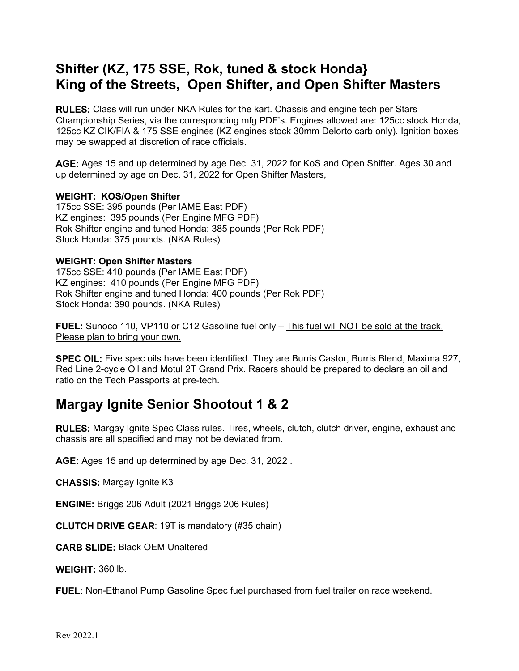# **Shifter (KZ, 175 SSE, Rok, tuned & stock Honda} King of the Streets, Open Shifter, and Open Shifter Masters**

**RULES:** Class will run under NKA Rules for the kart. Chassis and engine tech per Stars Championship Series, via the corresponding mfg PDF's. Engines allowed are: 125cc stock Honda, 125cc KZ CIK/FIA & 175 SSE engines (KZ engines stock 30mm Delorto carb only). Ignition boxes may be swapped at discretion of race officials.

**AGE:** Ages 15 and up determined by age Dec. 31, 2022 for KoS and Open Shifter. Ages 30 and up determined by age on Dec. 31, 2022 for Open Shifter Masters,

### **WEIGHT: KOS/Open Shifter**

175cc SSE: 395 pounds (Per IAME East PDF) KZ engines: 395 pounds (Per Engine MFG PDF) Rok Shifter engine and tuned Honda: 385 pounds (Per Rok PDF) Stock Honda: 375 pounds. (NKA Rules)

### **WEIGHT: Open Shifter Masters**

175cc SSE: 410 pounds (Per IAME East PDF) KZ engines: 410 pounds (Per Engine MFG PDF) Rok Shifter engine and tuned Honda: 400 pounds (Per Rok PDF) Stock Honda: 390 pounds. (NKA Rules)

FUEL: Sunoco 110, VP110 or C12 Gasoline fuel only - This fuel will NOT be sold at the track. Please plan to bring your own.

**SPEC OIL:** Five spec oils have been identified. They are Burris Castor, Burris Blend, Maxima 927, Red Line 2-cycle Oil and Motul 2T Grand Prix. Racers should be prepared to declare an oil and ratio on the Tech Passports at pre-tech.

### **Margay Ignite Senior Shootout 1 & 2**

**RULES:** Margay Ignite Spec Class rules. Tires, wheels, clutch, clutch driver, engine, exhaust and chassis are all specified and may not be deviated from.

**AGE:** Ages 15 and up determined by age Dec. 31, 2022 .

**CHASSIS:** Margay Ignite K3

**ENGINE:** Briggs 206 Adult (2021 Briggs 206 Rules)

**CLUTCH DRIVE GEAR**: 19T is mandatory (#35 chain)

**CARB SLIDE:** Black OEM Unaltered

**WEIGHT:** 360 lb.

**FUEL:** Non-Ethanol Pump Gasoline Spec fuel purchased from fuel trailer on race weekend.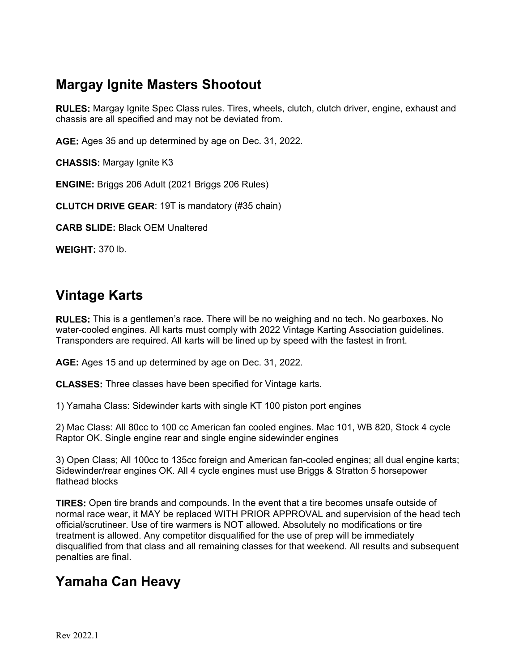# **Margay Ignite Masters Shootout**

**RULES:** Margay Ignite Spec Class rules. Tires, wheels, clutch, clutch driver, engine, exhaust and chassis are all specified and may not be deviated from.

**AGE:** Ages 35 and up determined by age on Dec. 31, 2022.

**CHASSIS:** Margay Ignite K3

**ENGINE:** Briggs 206 Adult (2021 Briggs 206 Rules)

**CLUTCH DRIVE GEAR**: 19T is mandatory (#35 chain)

**CARB SLIDE:** Black OEM Unaltered

**WEIGHT:** 370 lb.

### **Vintage Karts**

**RULES:** This is a gentlemen's race. There will be no weighing and no tech. No gearboxes. No water-cooled engines. All karts must comply with 2022 Vintage Karting Association guidelines. Transponders are required. All karts will be lined up by speed with the fastest in front.

**AGE:** Ages 15 and up determined by age on Dec. 31, 2022.

**CLASSES:** Three classes have been specified for Vintage karts.

1) Yamaha Class: Sidewinder karts with single KT 100 piston port engines

2) Mac Class: All 80cc to 100 cc American fan cooled engines. Mac 101, WB 820, Stock 4 cycle Raptor OK. Single engine rear and single engine sidewinder engines

3) Open Class; All 100cc to 135cc foreign and American fan-cooled engines; all dual engine karts; Sidewinder/rear engines OK. All 4 cycle engines must use Briggs & Stratton 5 horsepower flathead blocks

**TIRES:** Open tire brands and compounds. In the event that a tire becomes unsafe outside of normal race wear, it MAY be replaced WITH PRIOR APPROVAL and supervision of the head tech official/scrutineer. Use of tire warmers is NOT allowed. Absolutely no modifications or tire treatment is allowed. Any competitor disqualified for the use of prep will be immediately disqualified from that class and all remaining classes for that weekend. All results and subsequent penalties are final.

# **Yamaha Can Heavy**